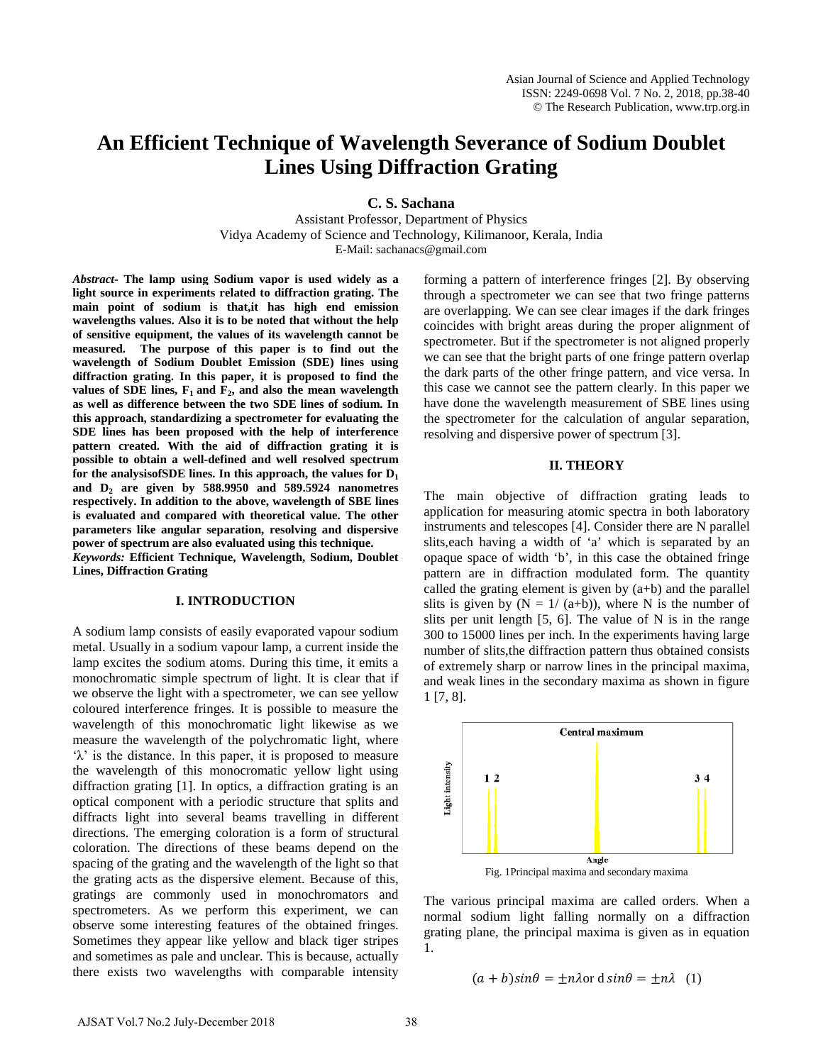# **An Efficient Technique of Wavelength Severance of Sodium Doublet Lines Using Diffraction Grating**

**C. S. Sachana**

Assistant Professor, Department of Physics Vidya Academy of Science and Technology, Kilimanoor, Kerala, India E-Mail: sachanacs@gmail.com

*Abstract***- The lamp using Sodium vapor is used widely as a light source in experiments related to diffraction grating. The main point of sodium is that,it has high end emission wavelengths values. Also it is to be noted that without the help of sensitive equipment, the values of its wavelength cannot be measured. The purpose of this paper is to find out the wavelength of Sodium Doublet Emission (SDE) lines using diffraction grating. In this paper, it is proposed to find the**  values of SDE lines,  $F_1$  and  $F_2$ , and also the mean wavelength **as well as difference between the two SDE lines of sodium. In this approach, standardizing a spectrometer for evaluating the SDE lines has been proposed with the help of interference pattern created. With the aid of diffraction grating it is possible to obtain a well-defined and well resolved spectrum**  for the analysisof SDE lines. In this approach, the values for  $D_1$ **and D2 are given by 588.9950 and 589.5924 nanometres respectively. In addition to the above, wavelength of SBE lines is evaluated and compared with theoretical value. The other parameters like angular separation, resolving and dispersive power of spectrum are also evaluated using this technique.**

*Keywords:* **Efficient Technique, Wavelength, Sodium, Doublet Lines, Diffraction Grating** 

## **I. INTRODUCTION**

A sodium lamp consists of easily evaporated vapour sodium metal. Usually in a sodium vapour lamp, a current inside the lamp excites the sodium atoms. During this time, it emits a monochromatic simple spectrum of light. It is clear that if we observe the light with a spectrometer, we can see yellow coloured interference fringes. It is possible to measure the wavelength of this monochromatic light likewise as we measure the wavelength of the polychromatic light, where 'λ' is the distance. In this paper, it is proposed to measure the wavelength of this monocromatic yellow light using diffraction grating [1]. In optics, a diffraction grating is an optical component with a periodic structure that splits and diffracts light into several beams travelling in different directions. The emerging coloration is a form of structural coloration. The directions of these beams depend on the spacing of the grating and the wavelength of the light so that the grating acts as the dispersive element. Because of this, gratings are commonly used in monochromators and spectrometers. As we perform this experiment, we can observe some interesting features of the obtained fringes. Sometimes they appear like yellow and black tiger stripes and sometimes as pale and unclear. This is because, actually there exists two wavelengths with comparable intensity forming a pattern of interference fringes [2]. By observing through a spectrometer we can see that two fringe patterns are overlapping. We can see clear images if the dark fringes coincides with bright areas during the proper alignment of spectrometer. But if the spectrometer is not aligned properly we can see that the bright parts of one fringe pattern overlap the dark parts of the other fringe pattern, and vice versa. In this case we cannot see the pattern clearly. In this paper we have done the wavelength measurement of SBE lines using the spectrometer for the calculation of angular separation, resolving and dispersive power of spectrum [3].

## **II. THEORY**

The main objective of diffraction grating leads to application for measuring atomic spectra in both laboratory instruments and telescopes [4]. Consider there are N parallel slits,each having a width of 'a' which is separated by an opaque space of width 'b', in this case the obtained fringe pattern are in diffraction modulated form. The quantity called the grating element is given by  $(a+b)$  and the parallel slits is given by  $(N = 1/(a+b))$ , where N is the number of slits per unit length [5, 6]. The value of N is in the range 300 to 15000 lines per inch. In the experiments having large number of slits,the diffraction pattern thus obtained consists of extremely sharp or narrow lines in the principal maxima, and weak lines in the secondary maxima as shown in figure 1 [7, 8].



Fig. 1Principal maxima and secondary maxima

The various principal maxima are called orders. When a normal sodium light falling normally on a diffraction grating plane, the principal maxima is given as in equation 1.

$$
(a + b)\sin\theta = \pm n\lambda \text{ or } d\sin\theta = \pm n\lambda \quad (1)
$$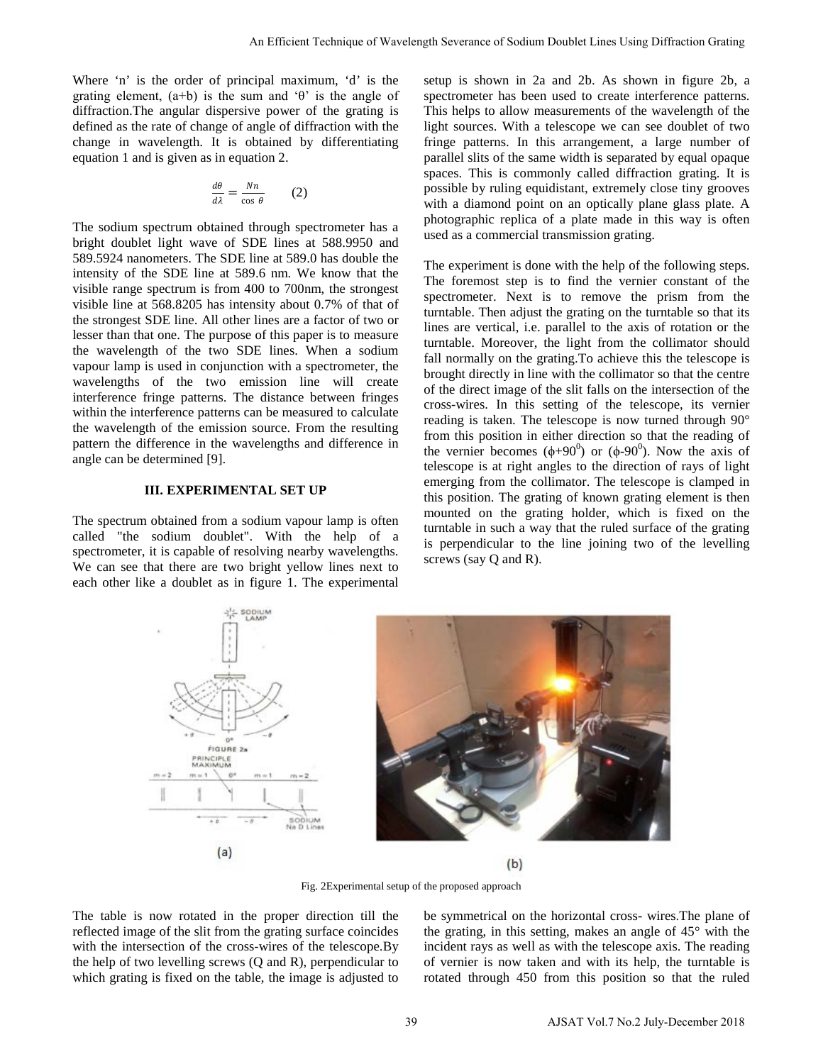Where 'n' is the order of principal maximum, 'd' is the grating element,  $(a+b)$  is the sum and 'θ' is the angle of diffraction.The angular dispersive power of the grating is defined as the rate of change of angle of diffraction with the change in wavelength. It is obtained by differentiating equation 1 and is given as in equation 2.

$$
\frac{d\theta}{d\lambda} = \frac{Nn}{\cos\theta} \qquad (2)
$$

The sodium spectrum obtained through spectrometer has a bright doublet light wave of SDE lines at 588.9950 and 589.5924 nanometers. The SDE line at 589.0 has double the intensity of the SDE line at 589.6 nm. We know that the visible range spectrum is from 400 to 700nm, the strongest visible line at 568.8205 has intensity about 0.7% of that of the strongest SDE line. All other lines are a factor of two or lesser than that one. The purpose of this paper is to measure the wavelength of the two SDE lines. When a sodium vapour lamp is used in conjunction with a spectrometer, the wavelengths of the two emission line will create interference fringe patterns. The distance between fringes within the interference patterns can be measured to calculate the wavelength of the emission source. From the resulting pattern the difference in the wavelengths and difference in angle can be determined [9].

## **III. EXPERIMENTAL SET UP**

The spectrum obtained from a sodium vapour lamp is often called "the sodium doublet". With the help of a spectrometer, it is capable of resolving nearby wavelengths. We can see that there are two bright yellow lines next to each other like a doublet as in figure 1. The experimental setup is shown in 2a and 2b. As shown in figure 2b, a spectrometer has been used to create interference patterns. This helps to allow measurements of the wavelength of the light sources. With a telescope we can see doublet of two fringe patterns. In this arrangement, a large number of parallel slits of the same width is separated by equal opaque spaces. This is commonly called diffraction grating. It is possible by ruling equidistant, extremely close tiny grooves with a diamond point on an optically plane glass plate. A photographic replica of a plate made in this way is often used as a commercial transmission grating.

The experiment is done with the help of the following steps. The foremost step is to find the vernier constant of the spectrometer. Next is to remove the prism from the turntable. Then adjust the grating on the turntable so that its lines are vertical, i.e. parallel to the axis of rotation or the turntable. Moreover, the light from the collimator should fall normally on the grating.To achieve this the telescope is brought directly in line with the collimator so that the centre of the direct image of the slit falls on the intersection of the cross-wires. In this setting of the telescope, its vernier reading is taken. The telescope is now turned through 90° from this position in either direction so that the reading of the vernier becomes  $(\phi + 90^0)$  or  $(\phi - 90^0)$ . Now the axis of telescope is at right angles to the direction of rays of light emerging from the collimator. The telescope is clamped in this position. The grating of known grating element is then mounted on the grating holder, which is fixed on the turntable in such a way that the ruled surface of the grating is perpendicular to the line joining two of the levelling screws (say Q and R).



Fig. 2Experimental setup of the proposed approach

The table is now rotated in the proper direction till the reflected image of the slit from the grating surface coincides with the intersection of the cross-wires of the telescope.By the help of two levelling screws (Q and R), perpendicular to which grating is fixed on the table, the image is adjusted to

be symmetrical on the horizontal cross- wires.The plane of the grating, in this setting, makes an angle of 45° with the incident rays as well as with the telescope axis. The reading of vernier is now taken and with its help, the turntable is rotated through 450 from this position so that the ruled